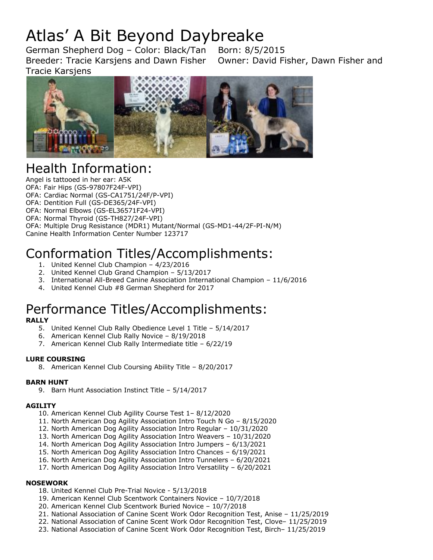# Atlas' A Bit Beyond Daybreake

German Shepherd Dog – Color: Black/Tan Born: 8/5/2015 Breeder: Tracie Karsjens and Dawn Fisher Owner: David Fisher, Dawn Fisher and Tracie Karsjens



## Health Information:

Angel is tattooed in her ear: A5K OFA: Fair Hips (GS-97807F24F-VPI) OFA: Cardiac Normal (GS-CA1751/24F/P-VPI) OFA: Dentition Full (GS-DE365/24F-VPI) OFA: Normal Elbows (GS-EL36571F24-VPI) OFA: Normal Thyroid (GS-TH827/24F-VPI) OFA: Multiple Drug Resistance (MDR1) Mutant/Normal (GS-MD1-44/2F-PI-N/M) Canine Health Information Center Number 123717

## Conformation Titles/Accomplishments:

- 1. United Kennel Club Champion 4/23/2016
- 2. United Kennel Club Grand Champion 5/13/2017
- 3. International All-Breed Canine Association International Champion 11/6/2016
- 4. United Kennel Club #8 German Shepherd for 2017

## Performance Titles/Accomplishments:

#### **RALLY**

- 5. United Kennel Club Rally Obedience Level 1 Title 5/14/2017
- 6. American Kennel Club Rally Novice 8/19/2018
- 7. American Kennel Club Rally Intermediate title 6/22/19

#### **LURE COURSING**

8. American Kennel Club Coursing Ability Title – 8/20/2017

#### **BARN HUNT**

9. Barn Hunt Association Instinct Title – 5/14/2017

#### **AGILITY**

- 10. American Kennel Club Agility Course Test 1– 8/12/2020
- 11. North American Dog Agility Association Intro Touch N Go 8/15/2020
- 12. North American Dog Agility Association Intro Regular 10/31/2020
- 13. North American Dog Agility Association Intro Weavers 10/31/2020
- 14. North American Dog Agility Association Intro Jumpers 6/13/2021
- 15. North American Dog Agility Association Intro Chances 6/19/2021
- 16. North American Dog Agility Association Intro Tunnelers 6/20/2021
- 17. North American Dog Agility Association Intro Versatility 6/20/2021

#### **NOSEWORK**

- 18. United Kennel Club Pre-Trial Novice 5/13/2018
- 19. American Kennel Club Scentwork Containers Novice 10/7/2018
- 20. American Kennel Club Scentwork Buried Novice 10/7/2018
- 21. National Association of Canine Scent Work Odor Recognition Test, Anise 11/25/2019
- 22. National Association of Canine Scent Work Odor Recognition Test, Clove– 11/25/2019
- 23. National Association of Canine Scent Work Odor Recognition Test, Birch– 11/25/2019